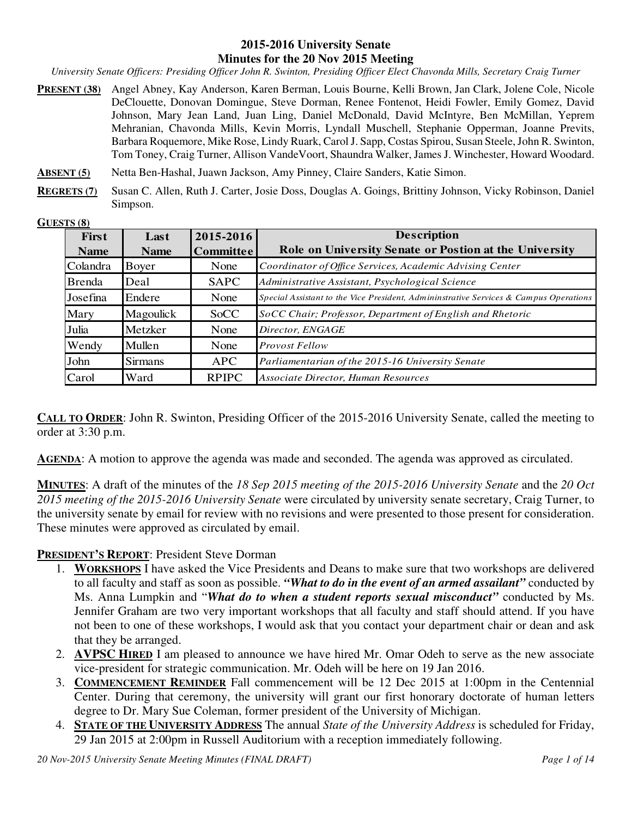#### **2015-2016 University Senate Minutes for the 20 Nov 2015 Meeting**

*University Senate Officers: Presiding Officer John R. Swinton, Presiding Officer Elect Chavonda Mills, Secretary Craig Turner* 

- **PRESENT (38)** Angel Abney, Kay Anderson, Karen Berman, Louis Bourne, Kelli Brown, Jan Clark, Jolene Cole, Nicole DeClouette, Donovan Domingue, Steve Dorman, Renee Fontenot, Heidi Fowler, Emily Gomez, David Johnson, Mary Jean Land, Juan Ling, Daniel McDonald, David McIntyre, Ben McMillan, Yeprem Mehranian, Chavonda Mills, Kevin Morris, Lyndall Muschell, Stephanie Opperman, Joanne Previts, Barbara Roquemore, Mike Rose, Lindy Ruark, Carol J. Sapp, Costas Spirou, Susan Steele, John R. Swinton, Tom Toney, Craig Turner, Allison VandeVoort, Shaundra Walker, James J. Winchester, Howard Woodard.
- **ABSENT (5)** Netta Ben-Hashal, Juawn Jackson, Amy Pinney, Claire Sanders, Katie Simon.
- **REGRETS (7)** Susan C. Allen, Ruth J. Carter, Josie Doss, Douglas A. Goings, Brittiny Johnson, Vicky Robinson, Daniel Simpson.

#### **GUESTS (8)**

| <b>First</b>  | Last           | 2015-2016        | <b>Description</b>                                                                    |
|---------------|----------------|------------------|---------------------------------------------------------------------------------------|
| <b>Name</b>   | <b>Name</b>    | <b>Committee</b> | Role on University Senate or Postion at the University                                |
| Colandra      | Boyer          | None             | Coordinator of Office Services, Academic Advising Center                              |
| <b>Brenda</b> | Deal           | <b>SAPC</b>      | Administrative Assistant, Psychological Science                                       |
| Josefina      | Endere         | None             | Special Assistant to the Vice President, Admininstrative Services & Campus Operations |
| Mary          | Magoulick      | <b>SoCC</b>      | SoCC Chair; Professor, Department of English and Rhetoric                             |
| Julia         | Metzker        | None             | Director, ENGAGE                                                                      |
| Wendy         | Mullen         | None             | <b>Provost Fellow</b>                                                                 |
| John          | <b>Sirmans</b> | <b>APC</b>       | Parliamentarian of the 2015-16 University Senate                                      |
| Carol         | Ward           | <b>RPIPC</b>     | Associate Director, Human Resources                                                   |

**CALL TO ORDER:** John R. Swinton, Presiding Officer of the 2015-2016 University Senate, called the meeting to order at 3:30 p.m.

**AGENDA:** A motion to approve the agenda was made and seconded. The agenda was approved as circulated.

**MINUTES**: A draft of the minutes of the *18 Sep 2015 meeting of the 2015-2016 University Senate* and the *20 Oct 2015 meeting of the 2015-2016 University Senate* were circulated by university senate secretary, Craig Turner, to the university senate by email for review with no revisions and were presented to those present for consideration. These minutes were approved as circulated by email.

#### **PRESIDENT'S REPORT**: President Steve Dorman

- 1. **WORKSHOPS** I have asked the Vice Presidents and Deans to make sure that two workshops are delivered to all faculty and staff as soon as possible. *"What to do in the event of an armed assailant"* conducted by Ms. Anna Lumpkin and "*What do to when a student reports sexual misconduct"* conducted by Ms. Jennifer Graham are two very important workshops that all faculty and staff should attend. If you have not been to one of these workshops, I would ask that you contact your department chair or dean and ask that they be arranged.
- 2. **AVPSC HIRED** I am pleased to announce we have hired Mr. Omar Odeh to serve as the new associate vice-president for strategic communication. Mr. Odeh will be here on 19 Jan 2016.
- 3. **COMMENCEMENT REMINDER** Fall commencement will be 12 Dec 2015 at 1:00pm in the Centennial Center. During that ceremony, the university will grant our first honorary doctorate of human letters degree to Dr. Mary Sue Coleman, former president of the University of Michigan.
- 4. **STATE OF THE UNIVERSITY ADDRESS** The annual *State of the University Address* is scheduled for Friday, 29 Jan 2015 at 2:00pm in Russell Auditorium with a reception immediately following.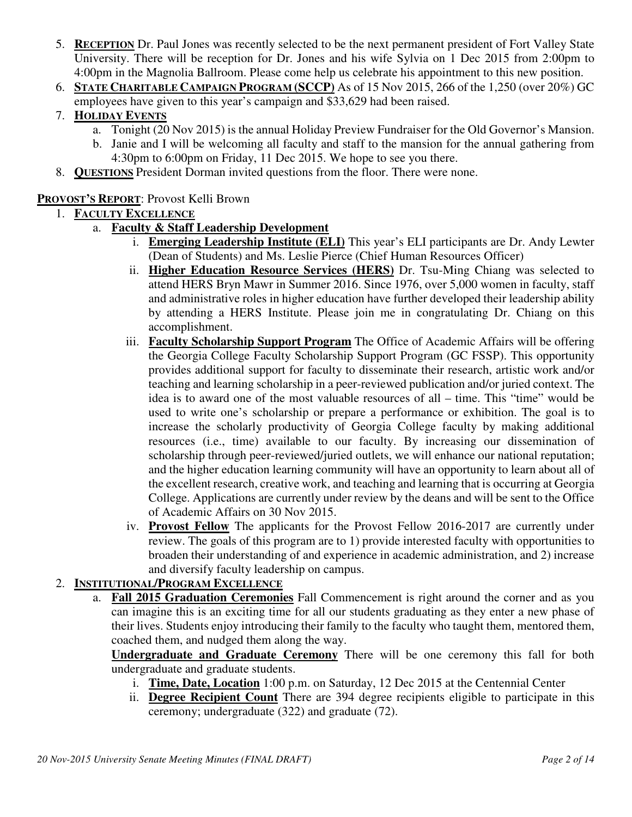- 5. **RECEPTION** Dr. Paul Jones was recently selected to be the next permanent president of Fort Valley State University. There will be reception for Dr. Jones and his wife Sylvia on 1 Dec 2015 from 2:00pm to 4:00pm in the Magnolia Ballroom. Please come help us celebrate his appointment to this new position.
- 6. **STATE CHARITABLE CAMPAIGN PROGRAM (SCCP)** As of 15 Nov 2015, 266 of the 1,250 (over 20%) GC employees have given to this year's campaign and \$33,629 had been raised.

# 7. **HOLIDAY EVENTS**

- a. Tonight (20 Nov 2015) is the annual Holiday Preview Fundraiser for the Old Governor's Mansion.
- b. Janie and I will be welcoming all faculty and staff to the mansion for the annual gathering from 4:30pm to 6:00pm on Friday, 11 Dec 2015. We hope to see you there.
- 8. **QUESTIONS** President Dorman invited questions from the floor. There were none.

# **PROVOST'S REPORT**: Provost Kelli Brown

# 1. **FACULTY EXCELLENCE**

- a. **Faculty & Staff Leadership Development**
	- i. **Emerging Leadership Institute (ELI)** This year's ELI participants are Dr. Andy Lewter (Dean of Students) and Ms. Leslie Pierce (Chief Human Resources Officer)
	- ii. **Higher Education Resource Services (HERS)** Dr. Tsu-Ming Chiang was selected to attend HERS Bryn Mawr in Summer 2016. Since 1976, over 5,000 women in faculty, staff and administrative roles in higher education have further developed their leadership ability by attending a HERS Institute. Please join me in congratulating Dr. Chiang on this accomplishment.
	- iii. **Faculty Scholarship Support Program** The Office of Academic Affairs will be offering the Georgia College Faculty Scholarship Support Program (GC FSSP). This opportunity provides additional support for faculty to disseminate their research, artistic work and/or teaching and learning scholarship in a peer-reviewed publication and/or juried context. The idea is to award one of the most valuable resources of all – time. This "time" would be used to write one's scholarship or prepare a performance or exhibition. The goal is to increase the scholarly productivity of Georgia College faculty by making additional resources (i.e., time) available to our faculty. By increasing our dissemination of scholarship through peer-reviewed/juried outlets, we will enhance our national reputation; and the higher education learning community will have an opportunity to learn about all of the excellent research, creative work, and teaching and learning that is occurring at Georgia College. Applications are currently under review by the deans and will be sent to the Office of Academic Affairs on 30 Nov 2015.
	- iv. **Provost Fellow** The applicants for the Provost Fellow 2016-2017 are currently under review. The goals of this program are to 1) provide interested faculty with opportunities to broaden their understanding of and experience in academic administration, and 2) increase and diversify faculty leadership on campus.

# 2. **INSTITUTIONAL/PROGRAM EXCELLENCE**

a. **Fall 2015 Graduation Ceremonies** Fall Commencement is right around the corner and as you can imagine this is an exciting time for all our students graduating as they enter a new phase of their lives. Students enjoy introducing their family to the faculty who taught them, mentored them, coached them, and nudged them along the way.

**Undergraduate and Graduate Ceremony** There will be one ceremony this fall for both undergraduate and graduate students.

- i. **Time, Date, Location** 1:00 p.m. on Saturday, 12 Dec 2015 at the Centennial Center
- ii. **Degree Recipient Count** There are 394 degree recipients eligible to participate in this ceremony; undergraduate (322) and graduate (72).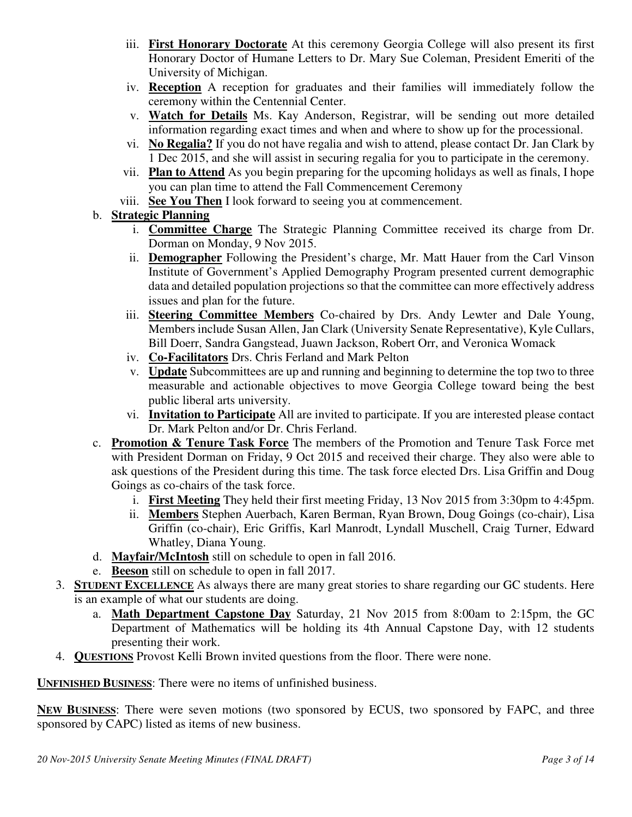- iii. **First Honorary Doctorate** At this ceremony Georgia College will also present its first Honorary Doctor of Humane Letters to Dr. Mary Sue Coleman, President Emeriti of the University of Michigan.
- iv. **Reception** A reception for graduates and their families will immediately follow the ceremony within the Centennial Center.
- v. **Watch for Details** Ms. Kay Anderson, Registrar, will be sending out more detailed information regarding exact times and when and where to show up for the processional.
- vi. **No Regalia?** If you do not have regalia and wish to attend, please contact Dr. Jan Clark by 1 Dec 2015, and she will assist in securing regalia for you to participate in the ceremony.
- vii. **Plan to Attend** As you begin preparing for the upcoming holidays as well as finals, I hope you can plan time to attend the Fall Commencement Ceremony
- viii. **See You Then** I look forward to seeing you at commencement.
- b. **Strategic Planning**
	- i. **Committee Charge** The Strategic Planning Committee received its charge from Dr. Dorman on Monday, 9 Nov 2015.
	- ii. **Demographer** Following the President's charge, Mr. Matt Hauer from the Carl Vinson Institute of Government's Applied Demography Program presented current demographic data and detailed population projections so that the committee can more effectively address issues and plan for the future.
	- iii. **Steering Committee Members** Co-chaired by Drs. Andy Lewter and Dale Young, Members include Susan Allen, Jan Clark (University Senate Representative), Kyle Cullars, Bill Doerr, Sandra Gangstead, Juawn Jackson, Robert Orr, and Veronica Womack
	- iv. **Co-Facilitators** Drs. Chris Ferland and Mark Pelton
	- v. **Update** Subcommittees are up and running and beginning to determine the top two to three measurable and actionable objectives to move Georgia College toward being the best public liberal arts university.
	- vi. **Invitation to Participate** All are invited to participate. If you are interested please contact Dr. Mark Pelton and/or Dr. Chris Ferland.
- c. **Promotion & Tenure Task Force** The members of the Promotion and Tenure Task Force met with President Dorman on Friday, 9 Oct 2015 and received their charge. They also were able to ask questions of the President during this time. The task force elected Drs. Lisa Griffin and Doug Goings as co-chairs of the task force.
	- i. **First Meeting** They held their first meeting Friday, 13 Nov 2015 from 3:30pm to 4:45pm.
	- ii. **Members** Stephen Auerbach, Karen Berman, Ryan Brown, Doug Goings (co-chair), Lisa Griffin (co-chair), Eric Griffis, Karl Manrodt, Lyndall Muschell, Craig Turner, Edward Whatley, Diana Young.
- d. **Mayfair/McIntosh** still on schedule to open in fall 2016.
- e. **Beeson** still on schedule to open in fall 2017.
- 3. **STUDENT EXCELLENCE** As always there are many great stories to share regarding our GC students. Here is an example of what our students are doing.
	- a. **Math Department Capstone Day** Saturday, 21 Nov 2015 from 8:00am to 2:15pm, the GC Department of Mathematics will be holding its 4th Annual Capstone Day, with 12 students presenting their work.
- 4. **QUESTIONS** Provost Kelli Brown invited questions from the floor. There were none.

**UNFINISHED BUSINESS**: There were no items of unfinished business.

NEW BUSINESS: There were seven motions (two sponsored by ECUS, two sponsored by FAPC, and three sponsored by CAPC) listed as items of new business.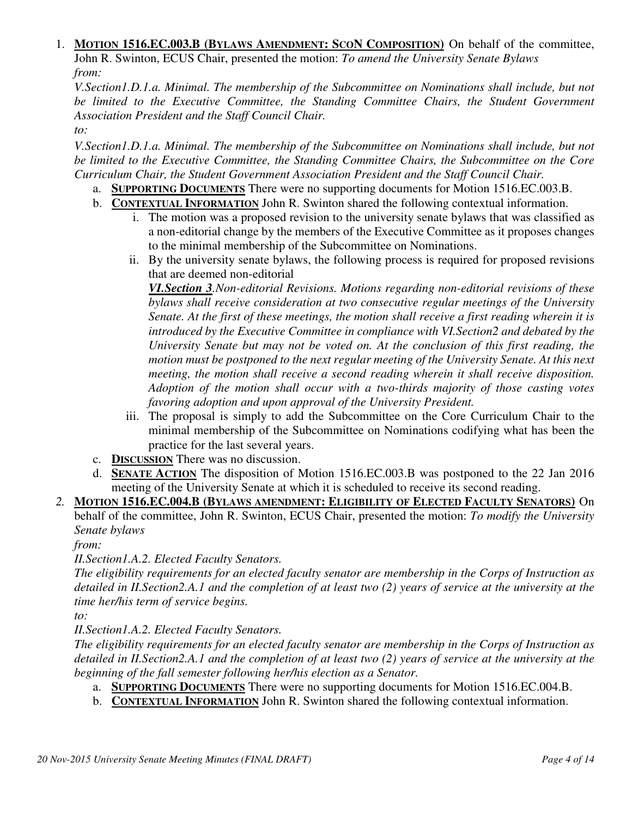#### 1. **MOTION 1516.EC.003.B (BYLAWS AMENDMENT: SCON COMPOSITION)** On behalf of the committee, John R. Swinton, ECUS Chair, presented the motion: *To amend the University Senate Bylaws from:*

*V.Section1.D.1.a. Minimal. The membership of the Subcommittee on Nominations shall include, but not be limited to the Executive Committee, the Standing Committee Chairs, the Student Government Association President and the Staff Council Chair.* 

*to:* 

*V.Section1.D.1.a. Minimal. The membership of the Subcommittee on Nominations shall include, but not be limited to the Executive Committee, the Standing Committee Chairs, the Subcommittee on the Core Curriculum Chair, the Student Government Association President and the Staff Council Chair.*

- a. **SUPPORTING DOCUMENTS** There were no supporting documents for Motion 1516.EC.003.B.
- b. **CONTEXTUAL INFORMATION** John R. Swinton shared the following contextual information.
	- i. The motion was a proposed revision to the university senate bylaws that was classified as a non-editorial change by the members of the Executive Committee as it proposes changes to the minimal membership of the Subcommittee on Nominations.
	- ii. By the university senate bylaws, the following process is required for proposed revisions that are deemed non-editorial

*VI.Section 3.Non-editorial Revisions. Motions regarding non-editorial revisions of these bylaws shall receive consideration at two consecutive regular meetings of the University Senate. At the first of these meetings, the motion shall receive a first reading wherein it is introduced by the Executive Committee in compliance with VI.Section2 and debated by the University Senate but may not be voted on. At the conclusion of this first reading, the motion must be postponed to the next regular meeting of the University Senate. At this next meeting, the motion shall receive a second reading wherein it shall receive disposition. Adoption of the motion shall occur with a two-thirds majority of those casting votes favoring adoption and upon approval of the University President.*

- iii. The proposal is simply to add the Subcommittee on the Core Curriculum Chair to the minimal membership of the Subcommittee on Nominations codifying what has been the practice for the last several years.
- c. **DISCUSSION** There was no discussion.
- d. **SENATE ACTION** The disposition of Motion 1516.EC.003.B was postponed to the 22 Jan 2016 meeting of the University Senate at which it is scheduled to receive its second reading.
- *2.* **MOTION 1516.EC.004.B (BYLAWS AMENDMENT: ELIGIBILITY OF ELECTED FACULTY SENATORS)** On behalf of the committee, John R. Swinton, ECUS Chair, presented the motion: *To modify the University Senate bylaws*

*from:*

*II.Section1.A.2. Elected Faculty Senators.* 

*The eligibility requirements for an elected faculty senator are membership in the Corps of Instruction as detailed in II.Section2.A.1 and the completion of at least two (2) years of service at the university at the time her/his term of service begins.* 

*to:* 

*II.Section1.A.2. Elected Faculty Senators.* 

*The eligibility requirements for an elected faculty senator are membership in the Corps of Instruction as detailed in II.Section2.A.1 and the completion of at least two (2) years of service at the university at the beginning of the fall semester following her/his election as a Senator.*

- a. **SUPPORTING DOCUMENTS** There were no supporting documents for Motion 1516.EC.004.B.
- b. **CONTEXTUAL INFORMATION** John R. Swinton shared the following contextual information.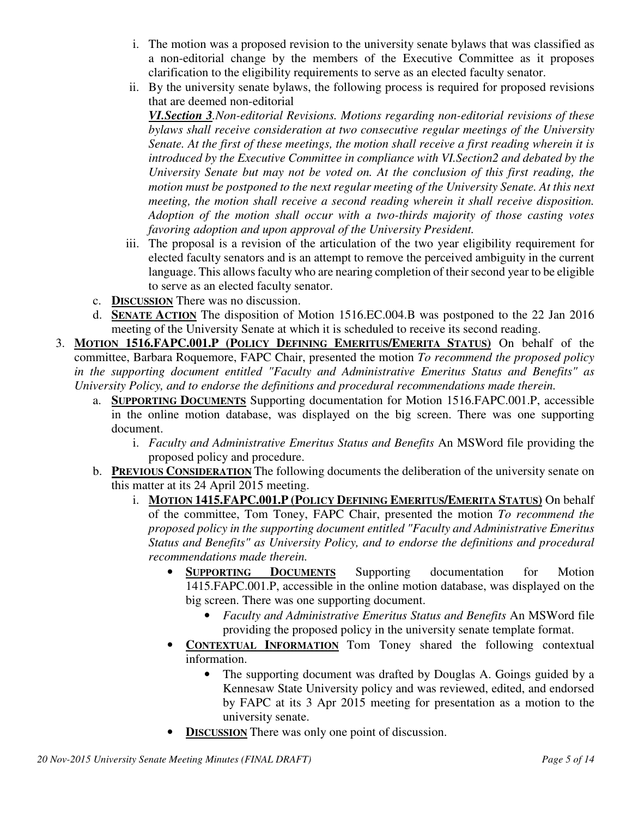- i. The motion was a proposed revision to the university senate bylaws that was classified as a non-editorial change by the members of the Executive Committee as it proposes clarification to the eligibility requirements to serve as an elected faculty senator.
- ii. By the university senate bylaws, the following process is required for proposed revisions that are deemed non-editorial

*VI.Section 3.Non-editorial Revisions. Motions regarding non-editorial revisions of these bylaws shall receive consideration at two consecutive regular meetings of the University Senate. At the first of these meetings, the motion shall receive a first reading wherein it is introduced by the Executive Committee in compliance with VI.Section2 and debated by the University Senate but may not be voted on. At the conclusion of this first reading, the motion must be postponed to the next regular meeting of the University Senate. At this next meeting, the motion shall receive a second reading wherein it shall receive disposition. Adoption of the motion shall occur with a two-thirds majority of those casting votes favoring adoption and upon approval of the University President.*

- iii. The proposal is a revision of the articulation of the two year eligibility requirement for elected faculty senators and is an attempt to remove the perceived ambiguity in the current language. This allows faculty who are nearing completion of their second year to be eligible to serve as an elected faculty senator.
- c. **DISCUSSION** There was no discussion.
- d. **SENATE ACTION** The disposition of Motion 1516.EC.004.B was postponed to the 22 Jan 2016 meeting of the University Senate at which it is scheduled to receive its second reading.
- 3. **MOTION 1516.FAPC.001.P (POLICY DEFINING EMERITUS/EMERITA STATUS)** On behalf of the committee, Barbara Roquemore, FAPC Chair, presented the motion *To recommend the proposed policy in the supporting document entitled "Faculty and Administrative Emeritus Status and Benefits" as University Policy, and to endorse the definitions and procedural recommendations made therein.*
	- a. **SUPPORTING DOCUMENTS** Supporting documentation for Motion 1516.FAPC.001.P, accessible in the online motion database, was displayed on the big screen. There was one supporting document.
		- i. *Faculty and Administrative Emeritus Status and Benefits* An MSWord file providing the proposed policy and procedure.
	- b. **PREVIOUS CONSIDERATION** The following documents the deliberation of the university senate on this matter at its 24 April 2015 meeting.
		- i. **MOTION 1415.FAPC.001.P (POLICY DEFINING EMERITUS/EMERITA STATUS)** On behalf of the committee, Tom Toney, FAPC Chair, presented the motion *To recommend the proposed policy in the supporting document entitled "Faculty and Administrative Emeritus Status and Benefits" as University Policy, and to endorse the definitions and procedural recommendations made therein.*
			- **SUPPORTING DOCUMENTS** Supporting documentation for Motion 1415.FAPC.001.P, accessible in the online motion database, was displayed on the big screen. There was one supporting document.
				- *Faculty and Administrative Emeritus Status and Benefits* An MSWord file providing the proposed policy in the university senate template format.
			- **CONTEXTUAL INFORMATION** Tom Toney shared the following contextual information.
				- The supporting document was drafted by Douglas A. Goings guided by a Kennesaw State University policy and was reviewed, edited, and endorsed by FAPC at its 3 Apr 2015 meeting for presentation as a motion to the university senate.
			- **DISCUSSION** There was only one point of discussion.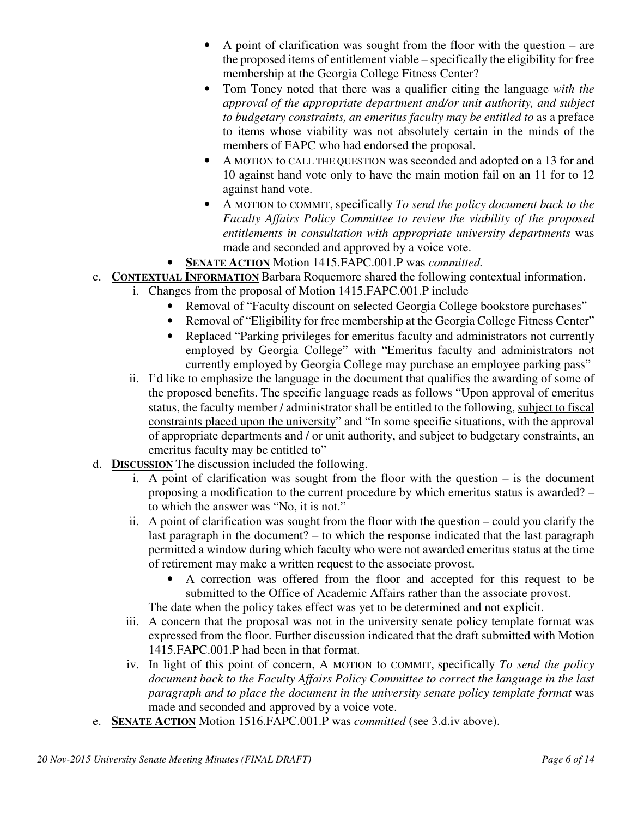- A point of clarification was sought from the floor with the question are the proposed items of entitlement viable – specifically the eligibility for free membership at the Georgia College Fitness Center?
- Tom Toney noted that there was a qualifier citing the language *with the approval of the appropriate department and/or unit authority, and subject to budgetary constraints, an emeritus faculty may be entitled to* as a preface to items whose viability was not absolutely certain in the minds of the members of FAPC who had endorsed the proposal.
- A MOTION to CALL THE QUESTION was seconded and adopted on a 13 for and 10 against hand vote only to have the main motion fail on an 11 for to 12 against hand vote.
- A MOTION to COMMIT, specifically *To send the policy document back to the Faculty Affairs Policy Committee to review the viability of the proposed entitlements in consultation with appropriate university departments* was made and seconded and approved by a voice vote.
- **SENATE ACTION** Motion 1415.FAPC.001.P was *committed.*
- c. **CONTEXTUAL INFORMATION** Barbara Roquemore shared the following contextual information.
	- i. Changes from the proposal of Motion 1415.FAPC.001.P include
		- Removal of "Faculty discount on selected Georgia College bookstore purchases"
		- Removal of "Eligibility for free membership at the Georgia College Fitness Center"
		- Replaced "Parking privileges for emeritus faculty and administrators not currently employed by Georgia College" with "Emeritus faculty and administrators not currently employed by Georgia College may purchase an employee parking pass"
		- ii. I'd like to emphasize the language in the document that qualifies the awarding of some of the proposed benefits. The specific language reads as follows "Upon approval of emeritus status, the faculty member / administrator shall be entitled to the following, subject to fiscal constraints placed upon the university" and "In some specific situations, with the approval of appropriate departments and / or unit authority, and subject to budgetary constraints, an emeritus faculty may be entitled to"
- d. **DISCUSSION** The discussion included the following.
	- i. A point of clarification was sought from the floor with the question is the document proposing a modification to the current procedure by which emeritus status is awarded? – to which the answer was "No, it is not."
	- ii. A point of clarification was sought from the floor with the question could you clarify the last paragraph in the document? – to which the response indicated that the last paragraph permitted a window during which faculty who were not awarded emeritus status at the time of retirement may make a written request to the associate provost.
		- A correction was offered from the floor and accepted for this request to be submitted to the Office of Academic Affairs rather than the associate provost.
	- The date when the policy takes effect was yet to be determined and not explicit. iii. A concern that the proposal was not in the university senate policy template format was expressed from the floor. Further discussion indicated that the draft submitted with Motion
	- 1415.FAPC.001.P had been in that format. iv. In light of this point of concern, A MOTION to COMMIT, specifically *To send the policy document back to the Faculty Affairs Policy Committee to correct the language in the last paragraph and to place the document in the university senate policy template format was* made and seconded and approved by a voice vote.
- e. **SENATE ACTION** Motion 1516.FAPC.001.P was *committed* (see 3.d.iv above).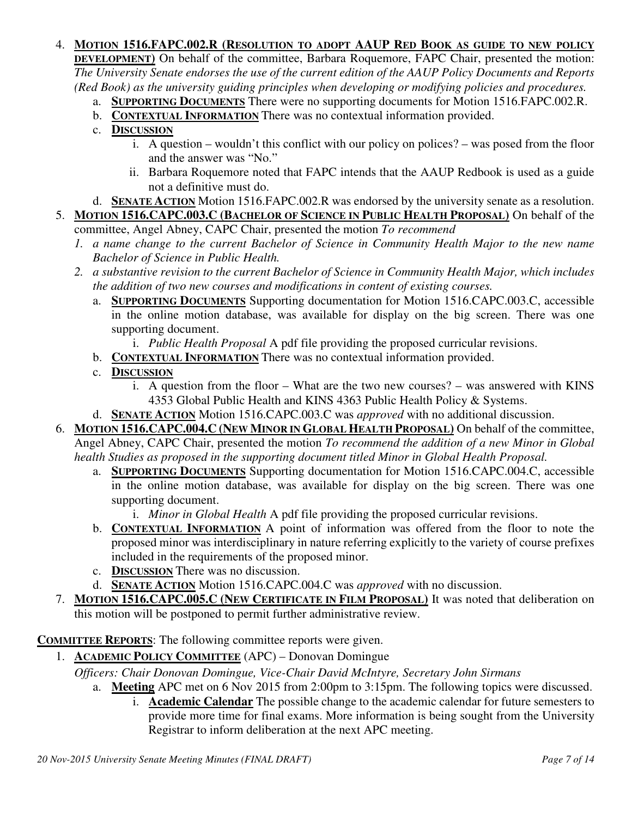#### 4. **MOTION 1516.FAPC.002.R (RESOLUTION TO ADOPT AAUP RED BOOK AS GUIDE TO NEW POLICY**

**DEVELOPMENT)** On behalf of the committee, Barbara Roquemore, FAPC Chair, presented the motion: *The University Senate endorses the use of the current edition of the AAUP Policy Documents and Reports (Red Book) as the university guiding principles when developing or modifying policies and procedures.*

- a. **SUPPORTING DOCUMENTS** There were no supporting documents for Motion 1516.FAPC.002.R.
- b. **CONTEXTUAL INFORMATION** There was no contextual information provided.
- c. **DISCUSSION**
	- i. A question wouldn't this conflict with our policy on polices? was posed from the floor and the answer was "No."
	- ii. Barbara Roquemore noted that FAPC intends that the AAUP Redbook is used as a guide not a definitive must do.

d. **SENATE ACTION** Motion 1516.FAPC.002.R was endorsed by the university senate as a resolution. 5. **MOTION 1516.CAPC.003.C (BACHELOR OF SCIENCE IN PUBLIC HEALTH PROPOSAL)** On behalf of the

committee, Angel Abney, CAPC Chair, presented the motion *To recommend*

- *1. a name change to the current Bachelor of Science in Community Health Major to the new name Bachelor of Science in Public Health.*
- *2. a substantive revision to the current Bachelor of Science in Community Health Major, which includes the addition of two new courses and modifications in content of existing courses.*
	- a. **SUPPORTING DOCUMENTS** Supporting documentation for Motion 1516.CAPC.003.C, accessible in the online motion database, was available for display on the big screen. There was one supporting document.
		- i. *Public Health Proposal* A pdf file providing the proposed curricular revisions.
	- b. **CONTEXTUAL INFORMATION** There was no contextual information provided.
	- c. **DISCUSSION**
		- i. A question from the floor What are the two new courses? was answered with KINS 4353 Global Public Health and KINS 4363 Public Health Policy & Systems.
	- d. **SENATE ACTION** Motion 1516.CAPC.003.C was *approved* with no additional discussion.

6. **MOTION 1516.CAPC.004.C (NEW MINOR IN GLOBAL HEALTH PROPOSAL)** On behalf of the committee,

Angel Abney, CAPC Chair, presented the motion *To recommend the addition of a new Minor in Global health Studies as proposed in the supporting document titled Minor in Global Health Proposal.*

- a. **SUPPORTING DOCUMENTS** Supporting documentation for Motion 1516.CAPC.004.C, accessible in the online motion database, was available for display on the big screen. There was one supporting document.
	- i. *Minor in Global Health* A pdf file providing the proposed curricular revisions.
- b. **CONTEXTUAL INFORMATION** A point of information was offered from the floor to note the proposed minor was interdisciplinary in nature referring explicitly to the variety of course prefixes included in the requirements of the proposed minor.
- c. **DISCUSSION** There was no discussion.
- d. **SENATE ACTION** Motion 1516.CAPC.004.C was *approved* with no discussion.
- 7. **MOTION 1516.CAPC.005.C (NEW CERTIFICATE IN FILM PROPOSAL)** It was noted that deliberation on this motion will be postponed to permit further administrative review.

**COMMITTEE REPORTS**: The following committee reports were given.

1. **ACADEMIC POLICY COMMITTEE** (APC) – Donovan Domingue

### *Officers: Chair Donovan Domingue, Vice-Chair David McIntyre, Secretary John Sirmans*

- a. **Meeting** APC met on 6 Nov 2015 from 2:00pm to 3:15pm. The following topics were discussed.
	- i. **Academic Calendar** The possible change to the academic calendar for future semesters to provide more time for final exams. More information is being sought from the University Registrar to inform deliberation at the next APC meeting.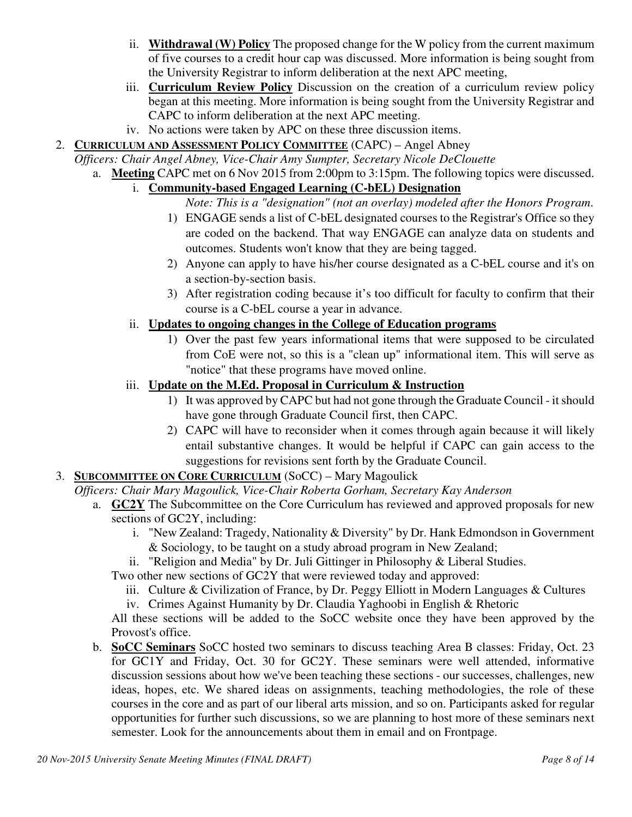- ii. **Withdrawal (W) Policy** The proposed change for the W policy from the current maximum of five courses to a credit hour cap was discussed. More information is being sought from the University Registrar to inform deliberation at the next APC meeting,
- iii. **Curriculum Review Policy** Discussion on the creation of a curriculum review policy began at this meeting. More information is being sought from the University Registrar and CAPC to inform deliberation at the next APC meeting.
- iv. No actions were taken by APC on these three discussion items.
- 2. **CURRICULUM AND ASSESSMENT POLICY COMMITTEE** (CAPC) Angel Abney

*Officers: Chair Angel Abney, Vice-Chair Amy Sumpter, Secretary Nicole DeClouette* 

- a. **Meeting** CAPC met on 6 Nov 2015 from 2:00pm to 3:15pm. The following topics were discussed.
	- i. **Community-based Engaged Learning (C-bEL) Designation**
		- *Note: This is a "designation" (not an overlay) modeled after the Honors Program*.
		- 1) ENGAGE sends a list of C-bEL designated courses to the Registrar's Office so they are coded on the backend. That way ENGAGE can analyze data on students and outcomes. Students won't know that they are being tagged.
		- 2) Anyone can apply to have his/her course designated as a C-bEL course and it's on a section-by-section basis.
		- 3) After registration coding because it's too difficult for faculty to confirm that their course is a C-bEL course a year in advance.
	- ii. **Updates to ongoing changes in the College of Education programs**
		- 1) Over the past few years informational items that were supposed to be circulated from CoE were not, so this is a "clean up" informational item. This will serve as "notice" that these programs have moved online.
	- iii. **Update on the M.Ed. Proposal in Curriculum & Instruction**
		- 1) It was approved by CAPC but had not gone through the Graduate Council it should have gone through Graduate Council first, then CAPC.
		- 2) CAPC will have to reconsider when it comes through again because it will likely entail substantive changes. It would be helpful if CAPC can gain access to the suggestions for revisions sent forth by the Graduate Council.
- 3. **SUBCOMMITTEE ON CORE CURRICULUM** (SoCC) Mary Magoulick
	- *Officers: Chair Mary Magoulick, Vice-Chair Roberta Gorham, Secretary Kay Anderson*
		- a. **GC2Y** The Subcommittee on the Core Curriculum has reviewed and approved proposals for new sections of GC2Y, including:
			- i. "New Zealand: Tragedy, Nationality & Diversity" by Dr. Hank Edmondson in Government & Sociology, to be taught on a study abroad program in New Zealand;
			- ii. "Religion and Media" by Dr. Juli Gittinger in Philosophy & Liberal Studies.
			- Two other new sections of GC2Y that were reviewed today and approved:
				- iii. Culture & Civilization of France, by Dr. Peggy Elliott in Modern Languages & Cultures
				- iv. Crimes Against Humanity by Dr. Claudia Yaghoobi in English & Rhetoric

All these sections will be added to the SoCC website once they have been approved by the Provost's office.

b. **SoCC Seminars** SoCC hosted two seminars to discuss teaching Area B classes: Friday, Oct. 23 for GC1Y and Friday, Oct. 30 for GC2Y. These seminars were well attended, informative discussion sessions about how we've been teaching these sections - our successes, challenges, new ideas, hopes, etc. We shared ideas on assignments, teaching methodologies, the role of these courses in the core and as part of our liberal arts mission, and so on. Participants asked for regular opportunities for further such discussions, so we are planning to host more of these seminars next semester. Look for the announcements about them in email and on Frontpage.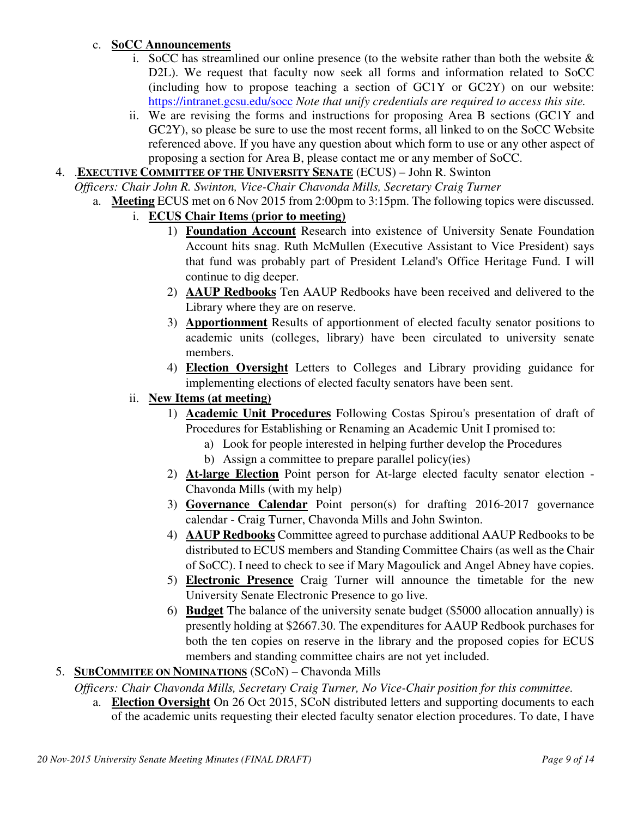### c. **SoCC Announcements**

- i. SoCC has streamlined our online presence (to the website rather than both the website  $\&$ D2L). We request that faculty now seek all forms and information related to SoCC (including how to propose teaching a section of GC1Y or GC2Y) on our website: https://intranet.gcsu.edu/socc *Note that unify credentials are required to access this site.*
- ii. We are revising the forms and instructions for proposing Area B sections (GC1Y and GC2Y), so please be sure to use the most recent forms, all linked to on the SoCC Website referenced above. If you have any question about which form to use or any other aspect of proposing a section for Area B, please contact me or any member of SoCC.
- 4. .**EXECUTIVE COMMITTEE OF THE UNIVERSITY SENATE** (ECUS) John R. Swinton

*Officers: Chair John R. Swinton, Vice-Chair Chavonda Mills, Secretary Craig Turner*

- a. **Meeting** ECUS met on 6 Nov 2015 from 2:00pm to 3:15pm. The following topics were discussed.
	- i. **ECUS Chair Items (prior to meeting)**
		- 1) **Foundation Account** Research into existence of University Senate Foundation Account hits snag. Ruth McMullen (Executive Assistant to Vice President) says that fund was probably part of President Leland's Office Heritage Fund. I will continue to dig deeper.
		- 2) **AAUP Redbooks** Ten AAUP Redbooks have been received and delivered to the Library where they are on reserve.
		- 3) **Apportionment** Results of apportionment of elected faculty senator positions to academic units (colleges, library) have been circulated to university senate members.
		- 4) **Election Oversight** Letters to Colleges and Library providing guidance for implementing elections of elected faculty senators have been sent.
	- ii. **New Items (at meeting)**
		- 1) **Academic Unit Procedures** Following Costas Spirou's presentation of draft of Procedures for Establishing or Renaming an Academic Unit I promised to:
			- a) Look for people interested in helping further develop the Procedures
			- b) Assign a committee to prepare parallel policy(ies)
		- 2) **At-large Election** Point person for At-large elected faculty senator election Chavonda Mills (with my help)
		- 3) **Governance Calendar** Point person(s) for drafting 2016-2017 governance calendar - Craig Turner, Chavonda Mills and John Swinton.
		- 4) **AAUP Redbooks** Committee agreed to purchase additional AAUP Redbooks to be distributed to ECUS members and Standing Committee Chairs (as well as the Chair of SoCC). I need to check to see if Mary Magoulick and Angel Abney have copies.
		- 5) **Electronic Presence** Craig Turner will announce the timetable for the new University Senate Electronic Presence to go live.
		- 6) **Budget** The balance of the university senate budget (\$5000 allocation annually) is presently holding at \$2667.30. The expenditures for AAUP Redbook purchases for both the ten copies on reserve in the library and the proposed copies for ECUS members and standing committee chairs are not yet included.
- 5. **SUBCOMMITEE ON NOMINATIONS** (SCoN) Chavonda Mills

*Officers: Chair Chavonda Mills, Secretary Craig Turner, No Vice-Chair position for this committee.*

a. **Election Oversight** On 26 Oct 2015, SCoN distributed letters and supporting documents to each of the academic units requesting their elected faculty senator election procedures. To date, I have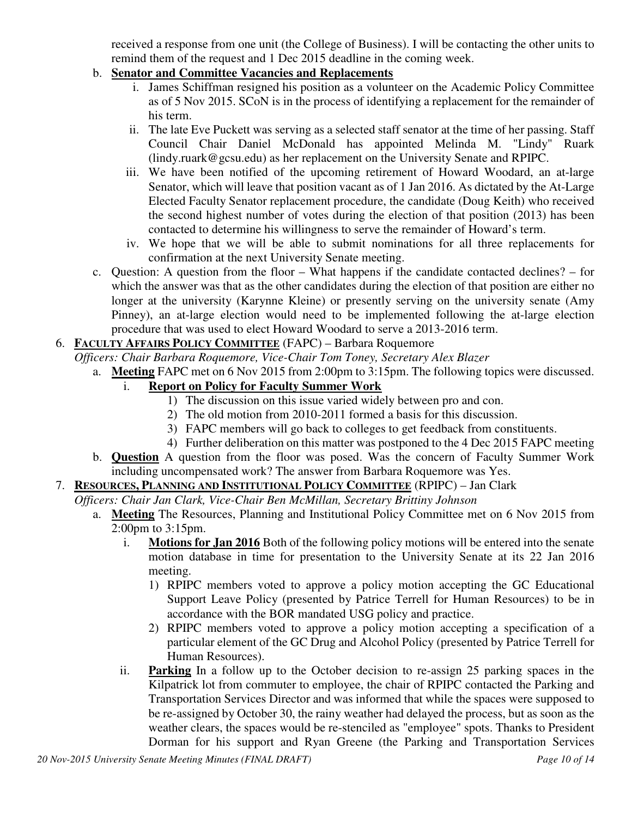received a response from one unit (the College of Business). I will be contacting the other units to remind them of the request and 1 Dec 2015 deadline in the coming week.

# b. **Senator and Committee Vacancies and Replacements**

- i. James Schiffman resigned his position as a volunteer on the Academic Policy Committee as of 5 Nov 2015. SCoN is in the process of identifying a replacement for the remainder of his term.
- ii. The late Eve Puckett was serving as a selected staff senator at the time of her passing. Staff Council Chair Daniel McDonald has appointed Melinda M. "Lindy" Ruark (lindy.ruark@gcsu.edu) as her replacement on the University Senate and RPIPC.
- iii. We have been notified of the upcoming retirement of Howard Woodard, an at-large Senator, which will leave that position vacant as of 1 Jan 2016. As dictated by the At-Large Elected Faculty Senator replacement procedure, the candidate (Doug Keith) who received the second highest number of votes during the election of that position (2013) has been contacted to determine his willingness to serve the remainder of Howard's term.
- iv. We hope that we will be able to submit nominations for all three replacements for confirmation at the next University Senate meeting.
- c. Question: A question from the floor What happens if the candidate contacted declines? for which the answer was that as the other candidates during the election of that position are either no longer at the university (Karynne Kleine) or presently serving on the university senate (Amy Pinney), an at-large election would need to be implemented following the at-large election procedure that was used to elect Howard Woodard to serve a 2013-2016 term.

# 6. **FACULTY AFFAIRS POLICY COMMITTEE** (FAPC) – Barbara Roquemore

*Officers: Chair Barbara Roquemore, Vice-Chair Tom Toney, Secretary Alex Blazer*

- a. **Meeting** FAPC met on 6 Nov 2015 from 2:00pm to 3:15pm. The following topics were discussed. i. **Report on Policy for Faculty Summer Work**
	- 1) The discussion on this issue varied widely between pro and con.
		- 2) The old motion from 2010-2011 formed a basis for this discussion.
	- 3) FAPC members will go back to colleges to get feedback from constituents.
	- 4) Further deliberation on this matter was postponed to the 4 Dec 2015 FAPC meeting
	- b. **Question** A question from the floor was posed. Was the concern of Faculty Summer Work including uncompensated work? The answer from Barbara Roquemore was Yes.

# 7. **RESOURCES, PLANNING AND INSTITUTIONAL POLICY COMMITTEE** (RPIPC) – Jan Clark

*Officers: Chair Jan Clark, Vice-Chair Ben McMillan, Secretary Brittiny Johnson* 

- a. **Meeting** The Resources, Planning and Institutional Policy Committee met on 6 Nov 2015 from 2:00pm to 3:15pm.
	- i. **Motions for Jan 2016** Both of the following policy motions will be entered into the senate motion database in time for presentation to the University Senate at its 22 Jan 2016 meeting.
		- 1) RPIPC members voted to approve a policy motion accepting the GC Educational Support Leave Policy (presented by Patrice Terrell for Human Resources) to be in accordance with the BOR mandated USG policy and practice.
		- 2) RPIPC members voted to approve a policy motion accepting a specification of a particular element of the GC Drug and Alcohol Policy (presented by Patrice Terrell for Human Resources).
	- ii. **Parking** In a follow up to the October decision to re-assign 25 parking spaces in the Kilpatrick lot from commuter to employee, the chair of RPIPC contacted the Parking and Transportation Services Director and was informed that while the spaces were supposed to be re-assigned by October 30, the rainy weather had delayed the process, but as soon as the weather clears, the spaces would be re-stenciled as "employee" spots. Thanks to President Dorman for his support and Ryan Greene (the Parking and Transportation Services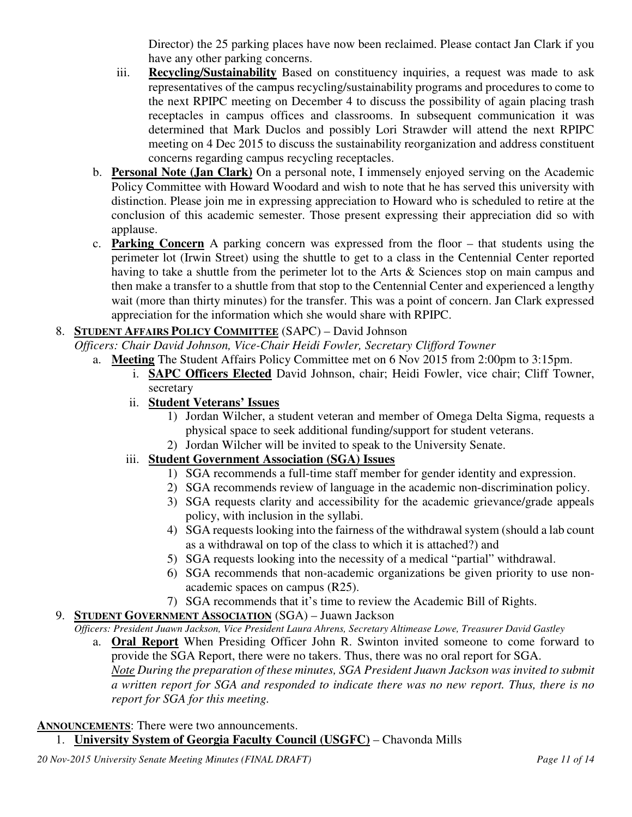Director) the 25 parking places have now been reclaimed. Please contact Jan Clark if you have any other parking concerns.

- iii. **Recycling/Sustainability** Based on constituency inquiries, a request was made to ask representatives of the campus recycling/sustainability programs and procedures to come to the next RPIPC meeting on December 4 to discuss the possibility of again placing trash receptacles in campus offices and classrooms. In subsequent communication it was determined that Mark Duclos and possibly Lori Strawder will attend the next RPIPC meeting on 4 Dec 2015 to discuss the sustainability reorganization and address constituent concerns regarding campus recycling receptacles.
- b. **Personal Note (Jan Clark)** On a personal note, I immensely enjoyed serving on the Academic Policy Committee with Howard Woodard and wish to note that he has served this university with distinction. Please join me in expressing appreciation to Howard who is scheduled to retire at the conclusion of this academic semester. Those present expressing their appreciation did so with applause.
- c. **Parking Concern** A parking concern was expressed from the floor that students using the perimeter lot (Irwin Street) using the shuttle to get to a class in the Centennial Center reported having to take a shuttle from the perimeter lot to the Arts & Sciences stop on main campus and then make a transfer to a shuttle from that stop to the Centennial Center and experienced a lengthy wait (more than thirty minutes) for the transfer. This was a point of concern. Jan Clark expressed appreciation for the information which she would share with RPIPC.

# 8. **STUDENT AFFAIRS POLICY COMMITTEE** (SAPC) – David Johnson

*Officers: Chair David Johnson, Vice-Chair Heidi Fowler, Secretary Clifford Towner*

- a. **Meeting** The Student Affairs Policy Committee met on 6 Nov 2015 from 2:00pm to 3:15pm.
	- i. **SAPC Officers Elected** David Johnson, chair; Heidi Fowler, vice chair; Cliff Towner, secretary
	- ii. **Student Veterans' Issues**
		- 1) Jordan Wilcher, a student veteran and member of Omega Delta Sigma, requests a physical space to seek additional funding/support for student veterans.
		- 2) Jordan Wilcher will be invited to speak to the University Senate.

### iii. **Student Government Association (SGA) Issues**

- 1) SGA recommends a full-time staff member for gender identity and expression.
- 2) SGA recommends review of language in the academic non-discrimination policy.
- 3) SGA requests clarity and accessibility for the academic grievance/grade appeals policy, with inclusion in the syllabi.
- 4) SGA requests looking into the fairness of the withdrawal system (should a lab count as a withdrawal on top of the class to which it is attached?) and
- 5) SGA requests looking into the necessity of a medical "partial" withdrawal.
- 6) SGA recommends that non-academic organizations be given priority to use nonacademic spaces on campus (R25).
- 7) SGA recommends that it's time to review the Academic Bill of Rights.
- 9. **STUDENT GOVERNMENT ASSOCIATION** (SGA) Juawn Jackson
	- *Officers: President Juawn Jackson, Vice President Laura Ahrens, Secretary Altimease Lowe, Treasurer David Gastley*
		- a. **Oral Report** When Presiding Officer John R. Swinton invited someone to come forward to provide the SGA Report, there were no takers. Thus, there was no oral report for SGA. *Note During the preparation of these minutes, SGA President Juawn Jackson was invited to submit a written report for SGA and responded to indicate there was no new report. Thus, there is no report for SGA for this meeting.*

### **ANNOUNCEMENTS**: There were two announcements.

1. **University System of Georgia Faculty Council (USGFC)** – Chavonda Mills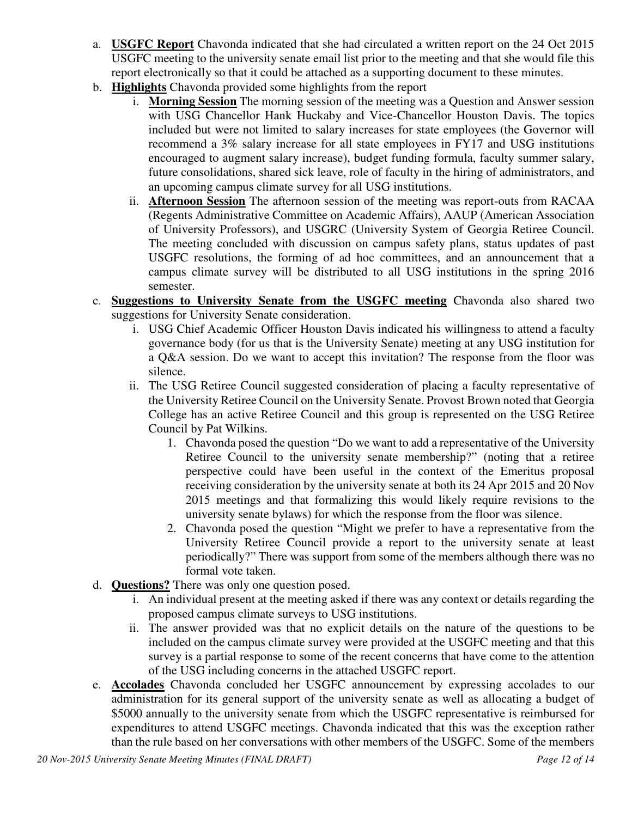- a. **USGFC Report** Chavonda indicated that she had circulated a written report on the 24 Oct 2015 USGFC meeting to the university senate email list prior to the meeting and that she would file this report electronically so that it could be attached as a supporting document to these minutes.
- b. **Highlights** Chavonda provided some highlights from the report
	- i. **Morning Session** The morning session of the meeting was a Question and Answer session with USG Chancellor Hank Huckaby and Vice-Chancellor Houston Davis. The topics included but were not limited to salary increases for state employees (the Governor will recommend a 3% salary increase for all state employees in FY17 and USG institutions encouraged to augment salary increase), budget funding formula, faculty summer salary, future consolidations, shared sick leave, role of faculty in the hiring of administrators, and an upcoming campus climate survey for all USG institutions.
	- ii. **Afternoon Session** The afternoon session of the meeting was report-outs from RACAA (Regents Administrative Committee on Academic Affairs), AAUP (American Association of University Professors), and USGRC (University System of Georgia Retiree Council. The meeting concluded with discussion on campus safety plans, status updates of past USGFC resolutions, the forming of ad hoc committees, and an announcement that a campus climate survey will be distributed to all USG institutions in the spring 2016 semester.
- c. **Suggestions to University Senate from the USGFC meeting** Chavonda also shared two suggestions for University Senate consideration.
	- i. USG Chief Academic Officer Houston Davis indicated his willingness to attend a faculty governance body (for us that is the University Senate) meeting at any USG institution for a Q&A session. Do we want to accept this invitation? The response from the floor was silence.
	- ii. The USG Retiree Council suggested consideration of placing a faculty representative of the University Retiree Council on the University Senate. Provost Brown noted that Georgia College has an active Retiree Council and this group is represented on the USG Retiree Council by Pat Wilkins.
		- 1. Chavonda posed the question "Do we want to add a representative of the University Retiree Council to the university senate membership?" (noting that a retiree perspective could have been useful in the context of the Emeritus proposal receiving consideration by the university senate at both its 24 Apr 2015 and 20 Nov 2015 meetings and that formalizing this would likely require revisions to the university senate bylaws) for which the response from the floor was silence.
		- 2. Chavonda posed the question "Might we prefer to have a representative from the University Retiree Council provide a report to the university senate at least periodically?" There was support from some of the members although there was no formal vote taken.
- d. **Questions?** There was only one question posed.
	- i. An individual present at the meeting asked if there was any context or details regarding the proposed campus climate surveys to USG institutions.
	- ii. The answer provided was that no explicit details on the nature of the questions to be included on the campus climate survey were provided at the USGFC meeting and that this survey is a partial response to some of the recent concerns that have come to the attention of the USG including concerns in the attached USGFC report.
- e. **Accolades** Chavonda concluded her USGFC announcement by expressing accolades to our administration for its general support of the university senate as well as allocating a budget of \$5000 annually to the university senate from which the USGFC representative is reimbursed for expenditures to attend USGFC meetings. Chavonda indicated that this was the exception rather than the rule based on her conversations with other members of the USGFC. Some of the members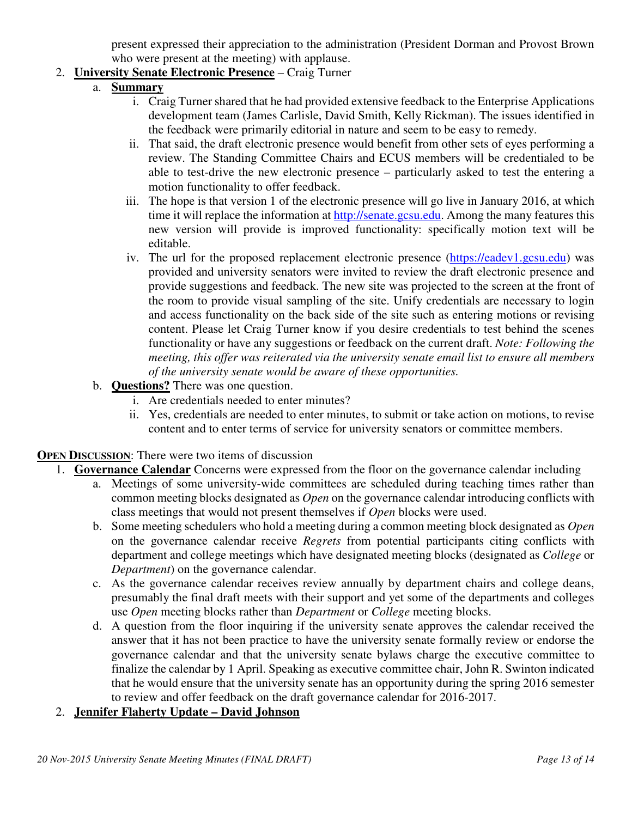present expressed their appreciation to the administration (President Dorman and Provost Brown who were present at the meeting) with applause.

# 2. **University Senate Electronic Presence** – Craig Turner

- a. **Summary**
	- i. Craig Turner shared that he had provided extensive feedback to the Enterprise Applications development team (James Carlisle, David Smith, Kelly Rickman). The issues identified in the feedback were primarily editorial in nature and seem to be easy to remedy.
	- ii. That said, the draft electronic presence would benefit from other sets of eyes performing a review. The Standing Committee Chairs and ECUS members will be credentialed to be able to test-drive the new electronic presence – particularly asked to test the entering a motion functionality to offer feedback.
	- iii. The hope is that version 1 of the electronic presence will go live in January 2016, at which time it will replace the information at http://senate.gcsu.edu. Among the many features this new version will provide is improved functionality: specifically motion text will be editable.
	- iv. The url for the proposed replacement electronic presence (https://eadev1.gcsu.edu) was provided and university senators were invited to review the draft electronic presence and provide suggestions and feedback. The new site was projected to the screen at the front of the room to provide visual sampling of the site. Unify credentials are necessary to login and access functionality on the back side of the site such as entering motions or revising content. Please let Craig Turner know if you desire credentials to test behind the scenes functionality or have any suggestions or feedback on the current draft. *Note: Following the meeting, this offer was reiterated via the university senate email list to ensure all members of the university senate would be aware of these opportunities.*
- b. **Questions?** There was one question.
	- i. Are credentials needed to enter minutes?
	- ii. Yes, credentials are needed to enter minutes, to submit or take action on motions, to revise content and to enter terms of service for university senators or committee members.

### **OPEN DISCUSSION**: There were two items of discussion

- 1. **Governance Calendar** Concerns were expressed from the floor on the governance calendar including
	- a. Meetings of some university-wide committees are scheduled during teaching times rather than common meeting blocks designated as *Open* on the governance calendar introducing conflicts with class meetings that would not present themselves if *Open* blocks were used.
	- b. Some meeting schedulers who hold a meeting during a common meeting block designated as *Open* on the governance calendar receive *Regrets* from potential participants citing conflicts with department and college meetings which have designated meeting blocks (designated as *College* or *Department*) on the governance calendar.
	- c. As the governance calendar receives review annually by department chairs and college deans, presumably the final draft meets with their support and yet some of the departments and colleges use *Open* meeting blocks rather than *Department* or *College* meeting blocks.
	- d. A question from the floor inquiring if the university senate approves the calendar received the answer that it has not been practice to have the university senate formally review or endorse the governance calendar and that the university senate bylaws charge the executive committee to finalize the calendar by 1 April. Speaking as executive committee chair, John R. Swinton indicated that he would ensure that the university senate has an opportunity during the spring 2016 semester to review and offer feedback on the draft governance calendar for 2016-2017.

### 2. **Jennifer Flaherty Update – David Johnson**